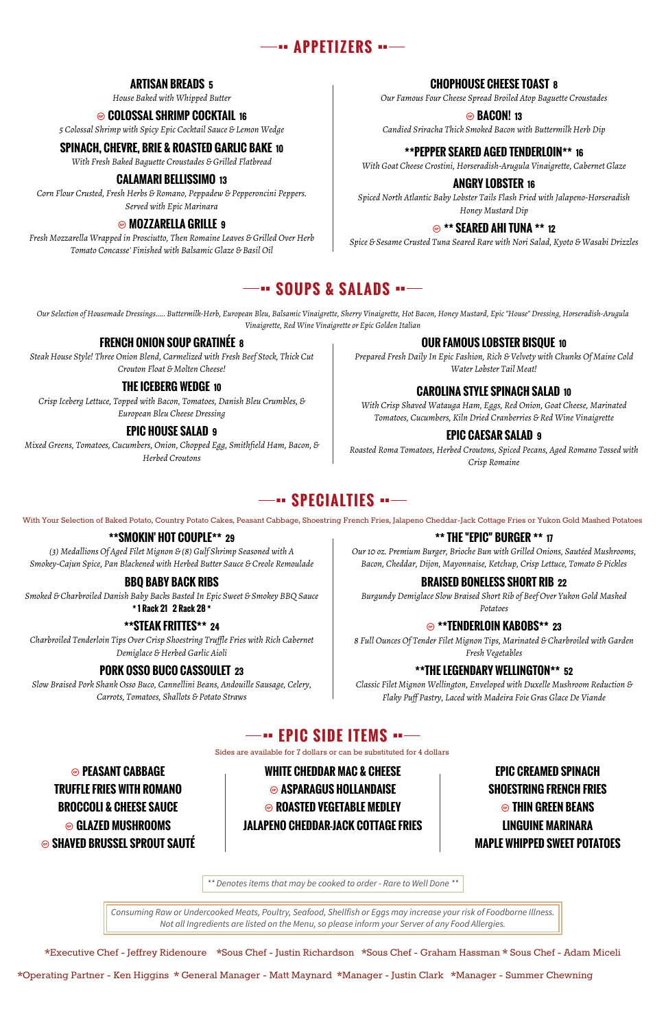

## **ARTISAN BREADS 5**

*House Baked with Whipped Butter*

## **◎ COLOSSAL SHRIMP COCKTAIL 16**

## **CHOPHOUSE CHEESE TOAST 8**

*Our Famous Four Cheese Spread Broiled Atop Baguette Croustades*

*5 Colossal Shrimp with Spicy Epic Cocktail Sauce & Lemon Wedge*

## Ô **BACON! <sup>13</sup>**

*Candied Sriracha Thick Smoked Bacon with Buttermilk Herb Dip*

## **SPINACH, CHEVRE, BRIE & ROASTED GARLIC BAKE 10**

*With Fresh Baked Baguette Croustades & Grilled Flatbread*

## **\*\*PEPPER SEARED AGED TENDERLOIN\*\* 16**

*With Goat Cheese Crostini, Horseradish-Arugula Vinaigrette, Cabernet Glaze*

## **CALAMARI BELLISSIMO 13**

*Corn Flour Crusted, Fresh Herbs & Romano, Peppadew & Pepperoncini Peppers. Served with Epic Marinara*

## **ANGRY LOBSTER 16**

*Spiced North Atlantic Baby Lobster Tails Flash Fried with Jalapeno-Horseradish Honey Mustard Dip*

## Ô **MOZZARELLA GRILLE <sup>9</sup>**

*Fresh Mozzarella Wrapped in Prosciutto, Then Romaine Leaves & Grilled Over Herb Tomato Concasse' Finished with Balsamic Glaze & Basil Oil*

## Ô **\*\* SEARED AHI TUNA \*\* <sup>12</sup>**

*Spice & Sesame Crusted Tuna Seared Rare with Nori Salad, Kyoto & Wasabi Drizzles*

## **--- SOUPS & SALADS ---**

*Our Selection of Housemade Dressings..... Buttermilk-Herb, European Bleu, Balsamic Vinaigrette, Sherry Vinaigrette, Hot Bacon, Honey Mustard, Epic "House" Dressing, Horseradish-Arugula Vinaigrette, Red Wine Vinaigrette or Epic Golden Italian*

## **FRENCH ONION SOUP GRATINÉE 8**

*Steak House Style! Three Onion Blend, Carmelized with Fresh Beef Stock, Thick Cut Crouton Float & Molten Cheese!*

## **OUR FAMOUS LOBSTER BISQUE 10**

*Prepared Fresh Daily In Epic Fashion, Rich & Velvety with Chunks Of Maine Cold Water Lobster Tail Meat!*

## **THE ICEBERG WEDGE 10**

*Crisp Iceberg Lettuce, Topped with Bacon, Tomatoes, Danish Bleu Crumbles, & European Bleu Cheese Dressing*

## **CAROLINA STYLE SPINACH SALAD 10**

*With Crisp Shaved Watauga Ham, Eggs, Red Onion, Goat Cheese, Marinated Tomatoes, Cucumbers, Kiln Dried Cranberries & Red Wine Vinaigrette*

## **EPIC HOUSE SALAD 9**

*Mixed Greens, Tomatoes, Cucumbers, Onion, Chopped Egg, Smithfield Ham, Bacon, & Herbed Croutons*

## **EPIC CAESAR SALAD 9**

*Roasted Roma Tomatoes, Herbed Croutons, Spiced Pecans, Aged Romano Tossed with Crisp Romaine*

## **SPECIALTIES** …

## **\*\*SMOKIN' HOT COUPLE\*\* 29**

*(3) Medallions Of Aged Filet Mignon & (8) Gulf Shrimp Seasoned with A Smokey-Cajun Spice, Pan Blackened with Herbed Butter Sauce & Creole Remoulade*

## **\*\* THE "EPIC" BURGER \*\* 17**

*Our 10 oz. Premium Burger, Brioche Bun with Grilled Onions, Sautéed Mushrooms, Bacon, Cheddar, Dijon, Mayonnaise, Ketchup, Crisp Lettuce, Tomato & Pickles*

## **BBQ BABY BACK RIBS**

*Smoked & Charbroiled Danish Baby Backs Basted In Epic Sweet & Smokey BBQ Sauce*

## **\* 1 Rack 21 2 Rack 28 \***

## **BRAISED BONELESS SHORT RIB 22**

*Burgundy Demiglace Slow Braised Short Rib of Beef Over Yukon Gold Mashed*

*Potatoes*

## **\*\*STEAK FRITTES\*\* 24**

*Charbroiled Tenderloin Tips Over Crisp Shoestring Truffle Fries with Rich Cabernet Demiglace & Herbed Garlic Aioli*

## Ô **\*\*TENDERLOIN KABOBS\*\* <sup>23</sup>**

*8 Full Ounces Of Tender Filet Mignon Tips, Marinated & Charbroiled with Garden Fresh Vegetables*

## **PORK OSSO BUCO CASSOULET 23**

*Slow Braised Pork Shank Osso Buco, Cannellini Beans, Andouille Sausage, Celery, Carrots, Tomatoes, Shallots & Potato Straws*

## **\*\*THE LEGENDARY WELLINGTON\*\* 52**

*Classic Filet Mignon Wellington, Enveloped with Duxelle Mushroom Reduction & Flaky Puff Pastry, Laced with Madeira Foie Gras Glace De Viande*

## **EPIC SIDE ITEMS**

Ô **PEASANT CABBAGE WHITE CHEDDAR MAC & CHEESE EPIC CREAMED SPINACH TRUFFLE FRIES WITH ROMANO** Ô **ASPARAGUS HOLLANDAISE SHOESTRING FRENCH FRIES BROCCOLI & CHEESE SAUCE**  $\odot$  **ROASTED VEGETABLE MEDLEY**  $\odot$  **THIN GREEN BEANS** Ô **GLAZED MUSHROOMS JALAPENO CHEDDAR-JACK COTTAGE FRIES LINGUINE MARINARA**

Ô **SHAVED BRUSSEL SPROUT SAUTÉ MAPLE WHIPPED SWEET POTATOES**

Sides are available for 7 dollars or can be substituted for 4 dollars

With Your Selection of Baked Potato, Country Potato Cakes, Peasant Cabbage, Shoestring French Fries, Jalapeno Cheddar-Jack Cottage Fries or Yukon Gold Mashed Potatoes

*\*\* Denotes items that may be cooked to order - Rare to Well Done \*\**

*Consuming Raw or Undercooked Meats, Poultry, Seafood, Shellfish or Eggs may increase your risk of Foodborne Illness. Not all Ingredients are listed on the Menu, so please inform your Server of any Food Allergies.*

\*Executive Chef - Jeffrey Ridenoure \*Sous Chef - Justin Richardson \*Sous Chef - Graham Hassman \* Sous Chef - Adam Miceli \*Operating Partner - Ken Higgins \* General Manager - Matt Maynard \*Manager - Justin Clark \*Manager - Summer Chewning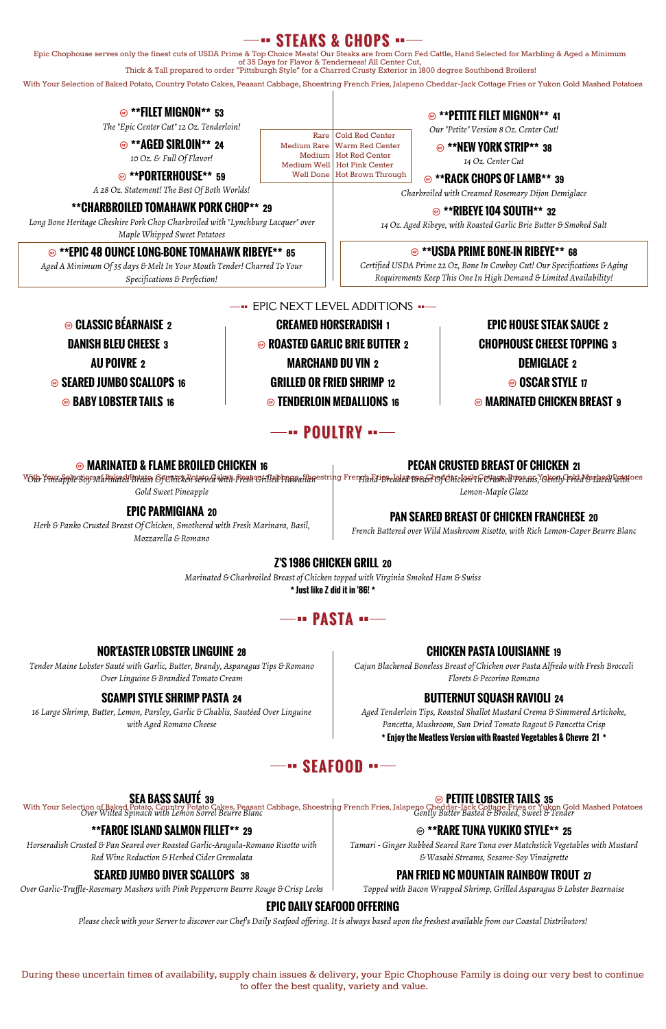## **STEAKS & CHOPS**

#### Ô **\*\*FILET MIGNON\*\* <sup>53</sup>** *The "Epic Center Cut" 12 Oz. Tenderloin!* Ô **\*\*PETITE FILET MIGNON\*\* <sup>41</sup>** *Our "Petite" Version 8 Oz. Center Cut!* Ô **\*\*AGED SIRLOIN\*\* <sup>24</sup>** *10 Oz. & Full Of Flavor!* Ô **\*\*NEW YORK STRIP\*\* <sup>38</sup>** *14 Oz. Center Cut* Ô **\*\*PORTERHOUSE\*\* <sup>59</sup>** *A 28 Oz. Statement! The Best Of Both Worlds!* Ô **\*\*RACK CHOPS OF LAMB\*\* <sup>39</sup>** *Charbroiled with Creamed Rosemary Dijon Demiglace* **\*\*CHARBROILED TOMAHAWK PORK CHOP\*\* 29** *Long Bone Heritage Cheshire Pork Chop Charbroiled with "Lynchburg Lacquer" over* Ô **\*\*RIBEYE 104 SOUTH\*\* <sup>32</sup>** *14 Oz. Aged Ribeye, with Roasted Garlic Brie Butter & Smoked Salt* Rare | Cold Red Center Medium Rare | Warm Red Center Medium Hot Red Center Medium Well Hot Pink Center Well Done | Hot Brown Through

*Maple Whipped Sweet Potatoes*

#### Ô **\*\*EPIC 48 OUNCE LONG-BONE TOMAHAWK RIBEYE\*\* <sup>85</sup>**

*Aged A Minimum Of 35 days & Melt In Your Mouth Tender! Charred To Your Specifications & Perfection!*

## Ô **\*\*USDA PRIME BONE-IN RIBEYE\*\* <sup>68</sup>**

<sup>With</sup> Filledple Suy Ma<del>Rakeel Brease</del> Openitk*en* serve a<del>wa</del>n Pesa Shilled Prata Shaestring Frengh Fains Breast Openiclea'n Gerasteans,Yokany Pred Monheel Point oes *Gold Sweet Pineapple Lemon-Maple Glaze*

*Certified USDA Prime 22 Oz, Bone In Cowboy Cut! Our Specifications & Aging Requirements Keep This One In High Demand & Limited Availability!*

EPIC NEXT LEVEL ADDITIONS Ô **CLASSIC BÉARNAISE <sup>2</sup> CREAMED HORSERADISH <sup>1</sup> EPIC HOUSE STEAK SAUCE <sup>2</sup> DANISH BLEU CHEESE <sup>3</sup>** Ô **ROASTED GARLIC BRIE BUTTER <sup>2</sup> CHOPHOUSE CHEESE TOPPING <sup>3</sup> AU POIVRE 2 MARCHAND DU VIN 2 DEMIGLACE 2** Ô **SEARED JUMBO SCALLOPS <sup>16</sup> GRILLED OR FRIED SHRIMP <sup>12</sup>** Ô **OSCAR STYLE <sup>17</sup>** Ô **BABY LOBSTER TAILS <sup>16</sup>** Ô **TENDERLOIN MEDALLIONS <sup>16</sup>** Ô **MARINATED CHICKEN BREAST <sup>9</sup>**

## **-- POULTRY** --

Ô **MARINATED & FLAME BROILED CHICKEN <sup>16</sup>**

## **PECAN CRUSTED BREAST OF CHICKEN 21**

## **EPIC PARMIGIANA 20**

*Herb & Panko Crusted Breast Of Chicken, Smothered with Fresh Marinara, Basil, Mozzarella & Romano*

## **PAN SEARED BREAST OF CHICKEN FRANCHESE 20**

*French Battered over Wild Mushroom Risotto, with Rich Lemon-Caper Beurre Blanc*

## **Z'S 1986 CHICKEN GRILL 20**

*Marinated & Charbroiled Breast of Chicken topped with Virginia Smoked Ham & Swiss*

**\* Just like Z did it in '86! \***



## **NOR'EASTER LOBSTER LINGUINE 28**

*Tender Maine Lobster Sauté with Garlic, Butter, Brandy, Asparagus Tips & Romano Over Linguine & Brandied Tomato Cream*

## **CHICKEN PASTA LOUISIANNE 19**

*Cajun Blackened Boneless Breast of Chicken over Pasta Alfredo with Fresh Broccoli Florets & Pecorino Romano*

## **SCAMPI STYLE SHRIMP PASTA 24**

*16 Large Shrimp, Butter, Lemon, Parsley, Garlic & Chablis, Sautéed Over Linguine with Aged Romano Cheese*

## **BUTTERNUT SQUASH RAVIOLI 24**

*Aged Tenderloin Tips, Roasted Shallot Mustard Crema & Simmered Artichoke, Pancetta, Mushroom, Sun Dried Tomato Ragout & Pancetta Crisp*

**\* Enjoy the Meatless Version with Roasted Vegetables & Chevre 21 \***

## **WAS** SEAFOOD

## **SEA BASS SAUTÉ 39**

With Your Selection of Baked Potato, Country Potato Cakes, Peasant Cabbage, Shoestring French Fries, Jalapeno Cheddar-Jack Cottage Fries or Yukon Gold Mashed Potatoes<br>Over Wilted Spinach with Lemon Sorrel Beurre Blanc

## Ô **PETITE LOBSTER TAILS <sup>35</sup>**

## **\*\*FAROE ISLAND SALMON FILLET\*\* 29**

*Horseradish Crusted & Pan Seared over Roasted Garlic-Arugula-Romano Risotto with Red Wine Reduction & Herbed Cider Gremolata*

## Ô **\*\*RARE TUNA YUKIKO STYLE\*\* <sup>25</sup>**

*Tamari - Ginger Rubbed Seared Rare Tuna over Matchstick Vegetables with Mustard & Wasabi Streams, Sesame-Soy Vinaigrette*

## **SEARED JUMBO DIVER SCALLOPS 38**

*Over Garlic-Truffle-Rosemary Mashers with Pink Peppercorn Beurre Rouge & Crisp Leeks*

## **PAN FRIED NC MOUNTAIN RAINBOW TROUT 27**

*Topped with Bacon Wrapped Shrimp, Grilled Asparagus & Lobster Bearnaise*

## **EPIC DAILY SEAFOOD OFFERING**

*Please check with your Server to discover our Chef's Daily Seafood offering. It is always based upon the freshest available from our Coastal Distributors!*

Epic Chophouse serves only the finest cuts of USDA Prime & Top Choice Meats! Our Steaks are from Corn Fed Cattle, Hand Selected for Marbling & Aged a Minimum of 35 Days for Flavor & Tenderness! All Center Cut,

Thick & Tall prepared to order "Pittsburgh Style" for a Charred Crusty Exterior in 1800 degree Southbend Broilers!

During these uncertain times of availability, supply chain issues & delivery, your Epic Chophouse Family is doing our very best to continue to offer the best quality, variety and value.

With Your Selection of Baked Potato, Country Potato Cakes, Peasant Cabbage, Shoestring French Fries, Jalapeno Cheddar-Jack Cottage Fries or Yukon Gold Mashed Potatoes